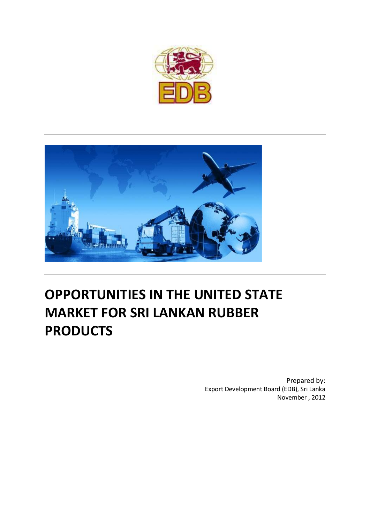



# **OPPORTUNITIES IN THE UNITED STATE MARKET FOR SRI LANKAN RUBBER PRODUCTS**

Prepared by: Export Development Board (EDB), Sri Lanka November , 2012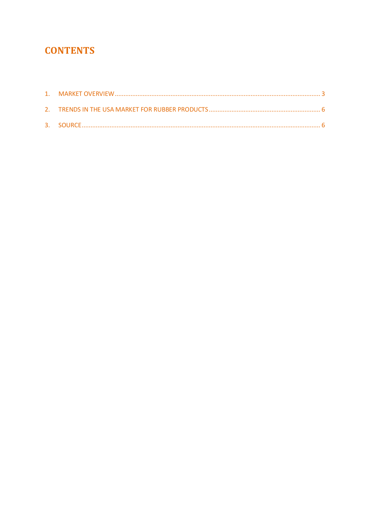## **CONTENTS**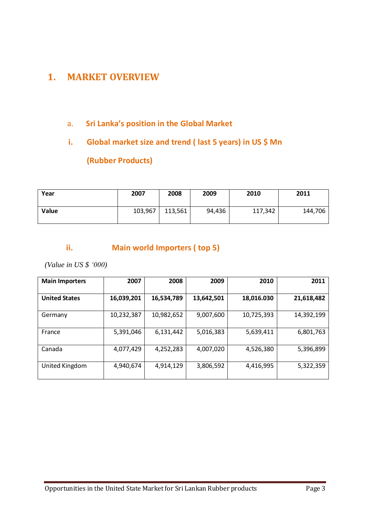### <span id="page-2-0"></span>**1. MARKET OVERVIEW**

#### a. **Sri Lanka's position in the Global Market**

## **i. Global market size and trend ( last 5 years) in US \$ Mn**

**(Rubber Products)**

| Year  | 2007    | 2008    | 2009   | 2010    | 2011    |
|-------|---------|---------|--------|---------|---------|
| Value | 103,967 | 113,561 | 94,436 | 117,342 | 144,706 |

#### **ii. Main world Importers ( top 5)**

*(Value in US \$ '000)*

| <b>Main Importers</b> | 2007       | 2008       | 2009       | 2010       | 2011       |
|-----------------------|------------|------------|------------|------------|------------|
| <b>United States</b>  | 16,039,201 | 16,534,789 | 13,642,501 | 18,016.030 | 21,618,482 |
| Germany               | 10,232,387 | 10,982,652 | 9,007,600  | 10,725,393 | 14,392,199 |
| France                | 5,391,046  | 6,131,442  | 5,016,383  | 5,639,411  | 6,801,763  |
| Canada                | 4,077,429  | 4,252,283  | 4,007,020  | 4,526,380  | 5,396,899  |
| United Kingdom        | 4,940,674  | 4,914,129  | 3,806,592  | 4,416,995  | 5,322,359  |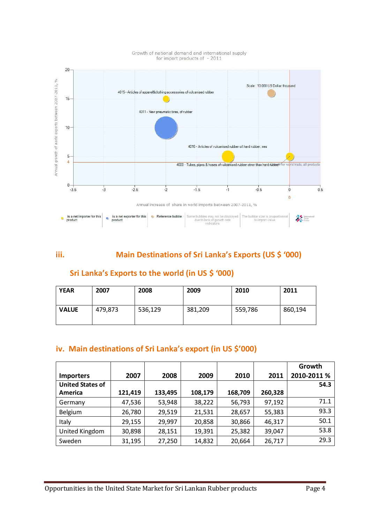

## Growth of national demand and international supply<br>for import products of - 2011

#### **iii. Main Destinations of Sri Lanka's Exports (US \$ '000)**

#### **Sri Lanka's Exports to the world (in US \$ '000)**

| <b>YEAR</b>  | 2007    | 2008    | 2009    | 2010    | 2011    |
|--------------|---------|---------|---------|---------|---------|
| <b>VALUE</b> | 479,873 | 536,129 | 381,209 | 559,786 | 860,194 |

#### **iv. Main destinations of Sri Lanka's export (in US \$'000)**

|                         |         |         |         |         |         | Growth      |
|-------------------------|---------|---------|---------|---------|---------|-------------|
| <b>Importers</b>        | 2007    | 2008    | 2009    | 2010    | 2011    | 2010-2011 % |
| <b>United States of</b> |         |         |         |         |         | 54.3        |
| America                 | 121,419 | 133,495 | 108,179 | 168,709 | 260,328 |             |
| Germany                 | 47,536  | 53,948  | 38,222  | 56,793  | 97,192  | 71.1        |
| Belgium                 | 26,780  | 29,519  | 21,531  | 28,657  | 55,383  | 93.3        |
| Italy                   | 29,155  | 29,997  | 20,858  | 30,866  | 46,317  | 50.1        |
| United Kingdom          | 30,898  | 28,151  | 19,391  | 25,382  | 39,047  | 53.8        |
| Sweden                  | 31,195  | 27,250  | 14,832  | 20,664  | 26,717  | 29.3        |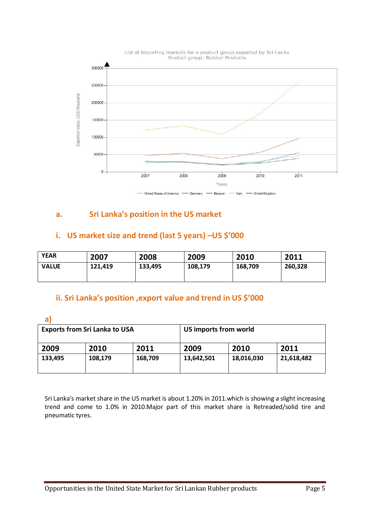

#### **a. Sri Lanka's position in the US market**

#### **i. US market size and trend (last 5 years) –US \$'000**

| <b>YEAR</b>  | 2007    | 2008    | 2009               | 2010 | 2011    |
|--------------|---------|---------|--------------------|------|---------|
| <b>VALUE</b> | 121,419 | 133,495 | 108,179<br>168,709 |      | 260,328 |

#### **ii. Sri Lanka's position ,export value and trend in US \$'000**

**a)**

|                      | <b>Exports from Sri Lanka to USA</b> |         | US imports from world |            |            |  |
|----------------------|--------------------------------------|---------|-----------------------|------------|------------|--|
| 2011<br>2010<br>2009 |                                      | 2009    | 2010                  | 2011       |            |  |
| 133,495              | 108,179                              | 168,709 | 13,642,501            | 18,016,030 | 21,618,482 |  |

Sri Lanka's market share in the US market is about 1.20% in 2011.which is showing a slight increasing trend and come to 1.0% in 2010.Major part of this market share is Retreaded/solid tire and pneumatic tyres.